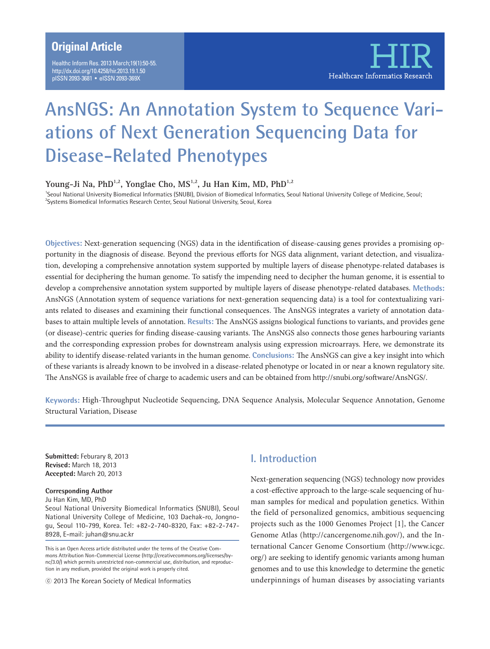Healthc Inform Res. 2013 March;19(1):50-55. http://dx.doi.org/10.4258/hir.2013.19.1.50 pISSN 2093-3681 • eISSN 2093-369X

# **AnsNGS: An Annotation System to Sequence Variations of Next Generation Sequencing Data for Disease-Related Phenotypes**

## Young-Ji Na, PhD<sup>1,2</sup>, Yonglae Cho, MS<sup>1,2</sup>, Ju Han Kim, MD, PhD<sup>1,2</sup>

<sup>1</sup>Seoul National University Biomedical Informatics (SNUBI), Division of Biomedical Informatics, Seoul National University College of Medicine, Seoul; <sup>2</sup>Systems Biomedical Informatics Research Center, Seoul National University, Seoul, Korea

**Objectives:** Next-generation sequencing (NGS) data in the identification of disease-causing genes provides a promising opportunity in the diagnosis of disease. Beyond the previous efforts for NGS data alignment, variant detection, and visualization, developing a comprehensive annotation system supported by multiple layers of disease phenotype-related databases is essential for deciphering the human genome. To satisfy the impending need to decipher the human genome, it is essential to develop a comprehensive annotation system supported by multiple layers of disease phenotype-related databases. **Methods:**  AnsNGS (Annotation system of sequence variations for next-generation sequencing data) is a tool for contextualizing variants related to diseases and examining their functional consequences. The AnsNGS integrates a variety of annotation databases to attain multiple levels of annotation. **Results:** The AnsNGS assigns biological functions to variants, and provides gene (or disease)-centric queries for finding disease-causing variants. The AnsNGS also connects those genes harbouring variants and the corresponding expression probes for downstream analysis using expression microarrays. Here, we demonstrate its ability to identify disease-related variants in the human genome. **Conclusions:** The AnsNGS can give a key insight into which of these variants is already known to be involved in a disease-related phenotype or located in or near a known regulatory site. The AnsNGS is available free of charge to academic users and can be obtained from http://snubi.org/software/AnsNGS/.

**Keywords:** High-Throughput Nucleotide Sequencing, DNA Sequence Analysis, Molecular Sequence Annotation, Genome Structural Variation, Disease

**Submitted:** Feburary 8, 2013 **Revised:** March 18, 2013 **Accepted:** March 20, 2013

#### **Corresponding Author**

Ju Han Kim, MD, PhD Seoul National University Biomedical Informatics (SNUBI), Seoul National University College of Medicine, 103 Daehak-ro, Jongnogu, Seoul 110-799, Korea. Tel: +82-2-740-8320, Fax: +82-2-747- 8928, E-mail: juhan@snu.ac.kr

ⓒ 2013 The Korean Society of Medical Informatics

## **I. Introduction**

Next-generation sequencing (NGS) technology now provides a cost-effective approach to the large-scale sequencing of human samples for medical and population genetics. Within the field of personalized genomics, ambitious sequencing projects such as the 1000 Genomes Project [1], the Cancer Genome Atlas (http://cancergenome.nih.gov/), and the International Cancer Genome Consortium (http://www.icgc. org/) are seeking to identify genomic variants among human genomes and to use this knowledge to determine the genetic underpinnings of human diseases by associating variants

This is an Open Access article distributed under the terms of the Creative Commons Attribution Non-Commercial License (http://creativecommons.org/licenses/bync/3.0/) which permits unrestricted non-commercial use, distribution, and reproduction in any medium, provided the original work is properly cited.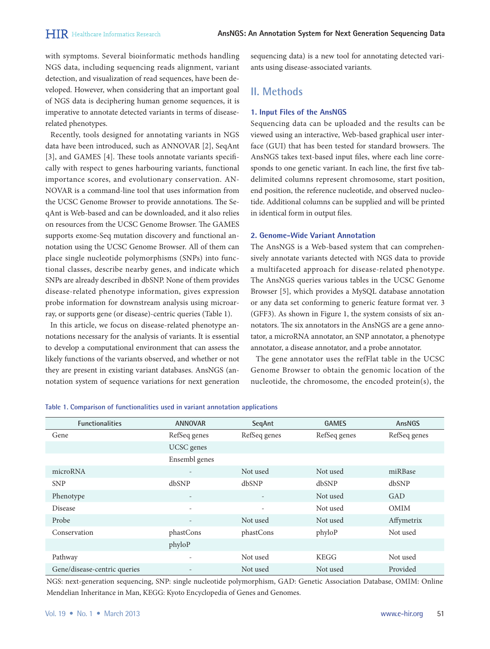### $HTR$  Healthcare Informatics Research

with symptoms. Several bioinformatic methods handling NGS data, including sequencing reads alignment, variant detection, and visualization of read sequences, have been developed. However, when considering that an important goal of NGS data is deciphering human genome sequences, it is imperative to annotate detected variants in terms of diseaserelated phenotypes.

 Recently, tools designed for annotating variants in NGS data have been introduced, such as ANNOVAR [2], SeqAnt [3], and GAMES [4]. These tools annotate variants specifically with respect to genes harbouring variants, functional importance scores, and evolutionary conservation. AN-NOVAR is a command-line tool that uses information from the UCSC Genome Browser to provide annotations. The SeqAnt is Web-based and can be downloaded, and it also relies on resources from the UCSC Genome Browser. The GAMES supports exome-Seq mutation discovery and functional annotation using the UCSC Genome Browser. All of them can place single nucleotide polymorphisms (SNPs) into functional classes, describe nearby genes, and indicate which SNPs are already described in dbSNP. None of them provides disease-related phenotype information, gives expression probe information for downstream analysis using microarray, or supports gene (or disease)-centric queries (Table 1).

 In this article, we focus on disease-related phenotype annotations necessary for the analysis of variants. It is essential to develop a computational environment that can assess the likely functions of the variants observed, and whether or not they are present in existing variant databases. AnsNGS (annotation system of sequence variations for next generation

sequencing data) is a new tool for annotating detected variants using disease-associated variants.

# **II. Methods**

#### **1. Input Files of the AnsNGS**

Sequencing data can be uploaded and the results can be viewed using an interactive, Web-based graphical user interface (GUI) that has been tested for standard browsers. The AnsNGS takes text-based input files, where each line corresponds to one genetic variant. In each line, the first five tabdelimited columns represent chromosome, start position, end position, the reference nucleotide, and observed nucleotide. Additional columns can be supplied and will be printed in identical form in output files.

#### **2. Genome-Wide Variant Annotation**

The AnsNGS is a Web-based system that can comprehensively annotate variants detected with NGS data to provide a multifaceted approach for disease-related phenotype. The AnsNGS queries various tables in the UCSC Genome Browser [5], which provides a MySQL database annotation or any data set conforming to generic feature format ver. 3 (GFF3). As shown in Figure 1, the system consists of six annotators. The six annotators in the AnsNGS are a gene annotator, a microRNA annotator, an SNP annotator, a phenotype annotator, a disease annotator, and a probe annotator.

 The gene annotator uses the refFlat table in the UCSC Genome Browser to obtain the genomic location of the nucleotide, the chromosome, the encoded protein(s), the

| <b>Functionalities</b>       | <b>ANNOVAR</b>           | SegAnt                   | <b>GAMES</b> | AnsNGS       |
|------------------------------|--------------------------|--------------------------|--------------|--------------|
| Gene                         | RefSeq genes             | RefSeq genes             | RefSeq genes | RefSeq genes |
|                              | UCSC genes               |                          |              |              |
|                              | Ensembl genes            |                          |              |              |
| microRNA                     | $\overline{\phantom{a}}$ | Not used                 | Not used     | miRBase      |
| <b>SNP</b>                   | dbSNP                    | dbSNP                    | dbSNP        | dbSNP        |
| Phenotype                    | $\overline{\phantom{a}}$ | $\qquad \qquad -$        | Not used     | GAD          |
| Disease                      | $\overline{\phantom{a}}$ | $\overline{\phantom{a}}$ | Not used     | <b>OMIM</b>  |
| Probe                        | $\overline{\phantom{a}}$ | Not used                 | Not used     | Affymetrix   |
| Conservation                 | phastCons                | phastCons                | phyloP       | Not used     |
|                              | phyloP                   |                          |              |              |
| Pathway                      | ٠                        | Not used                 | <b>KEGG</b>  | Not used     |
| Gene/disease-centric queries | $\overline{\phantom{a}}$ | Not used                 | Not used     | Provided     |

**Table 1. Comparison of functionalities used in variant annotation applications**

NGS: next-generation sequencing, SNP: single nucleotide polymorphism, GAD: Genetic Association Database, OMIM: Online Mendelian Inheritance in Man, KEGG: Kyoto Encyclopedia of Genes and Genomes.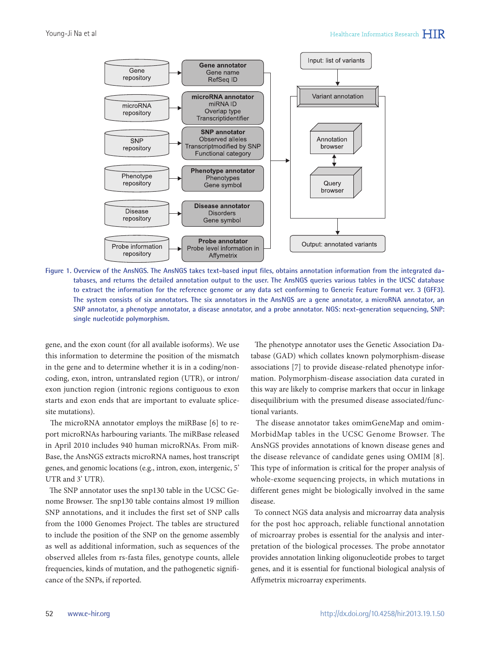

**Figure 1. Overview of the AnsNGS. The AnsNGS takes text-based input files, obtains annotation information from the integrated databases, and returns the detailed annotation output to the user. The AnsNGS queries various tables in the UCSC database to extract the information for the reference genome or any data set conforming to Generic Feature Format ver. 3 (GFF3). The system consists of six annotators. The six annotators in the AnsNGS are a gene annotator, a microRNA annotator, an SNP annotator, a phenotype annotator, a disease annotator, and a probe annotator. NGS: next-generation sequencing, SNP: single nucleotide polymorphism.**

gene, and the exon count (for all available isoforms). We use this information to determine the position of the mismatch in the gene and to determine whether it is in a coding/noncoding, exon, intron, untranslated region (UTR), or intron/ exon junction region (intronic regions contiguous to exon starts and exon ends that are important to evaluate splicesite mutations).

 The microRNA annotator employs the miRBase [6] to report microRNAs harbouring variants. The miRBase released in April 2010 includes 940 human microRNAs. From miR-Base, the AnsNGS extracts microRNA names, host transcript genes, and genomic locations (e.g., intron, exon, intergenic, 5' UTR and 3' UTR).

 The SNP annotator uses the snp130 table in the UCSC Genome Browser. The snp130 table contains almost 19 million SNP annotations, and it includes the first set of SNP calls from the 1000 Genomes Project. The tables are structured to include the position of the SNP on the genome assembly as well as additional information, such as sequences of the observed alleles from rs-fasta files, genotype counts, allele frequencies, kinds of mutation, and the pathogenetic significance of the SNPs, if reported.

 The phenotype annotator uses the Genetic Association Database (GAD) which collates known polymorphism-disease associations [7] to provide disease-related phenotype information. Polymorphism-disease association data curated in this way are likely to comprise markers that occur in linkage disequilibrium with the presumed disease associated/functional variants.

 The disease annotator takes omimGeneMap and omim-MorbidMap tables in the UCSC Genome Browser. The AnsNGS provides annotations of known disease genes and the disease relevance of candidate genes using OMIM [8]. This type of information is critical for the proper analysis of whole-exome sequencing projects, in which mutations in different genes might be biologically involved in the same disease.

 To connect NGS data analysis and microarray data analysis for the post hoc approach, reliable functional annotation of microarray probes is essential for the analysis and interpretation of the biological processes. The probe annotator provides annotation linking oligonucleotide probes to target genes, and it is essential for functional biological analysis of Affymetrix microarray experiments.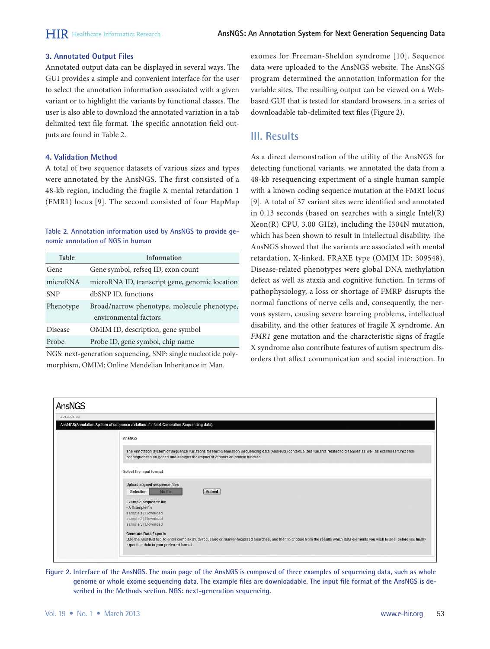#### **3. Annotated Output Files**

Annotated output data can be displayed in several ways. The GUI provides a simple and convenient interface for the user to select the annotation information associated with a given variant or to highlight the variants by functional classes. The user is also able to download the annotated variation in a tab delimited text file format. The specific annotation field outputs are found in Table 2.

#### **4. Validation Method**

A total of two sequence datasets of various sizes and types were annotated by the AnsNGS. The first consisted of a 48-kb region, including the fragile X mental retardation 1 (FMR1) locus [9]. The second consisted of four HapMap

#### **Table 2. Annotation information used by AnsNGS to provide genomic annotation of NGS in human**

| Table          | <b>Information</b>                                                   |
|----------------|----------------------------------------------------------------------|
| Gene           | Gene symbol, refseq ID, exon count                                   |
| microRNA       | microRNA ID, transcript gene, genomic location                       |
| <b>SNP</b>     | dbSNP ID, functions                                                  |
| Phenotype      | Broad/narrow phenotype, molecule phenotype,<br>environmental factors |
| <b>Disease</b> | OMIM ID, description, gene symbol                                    |
| Probe          | Probe ID, gene symbol, chip name                                     |

NGS: next-generation sequencing, SNP: single nucleotide polymorphism, OMIM: Online Mendelian Inheritance in Man.

exomes for Freeman-Sheldon syndrome [10]. Sequence data were uploaded to the AnsNGS website. The AnsNGS program determined the annotation information for the variable sites. The resulting output can be viewed on a Webbased GUI that is tested for standard browsers, in a series of downloadable tab-delimited text files (Figure 2).

## **III. Results**

As a direct demonstration of the utility of the AnsNGS for detecting functional variants, we annotated the data from a 48-kb resequencing experiment of a single human sample with a known coding sequence mutation at the FMR1 locus [9]. A total of 37 variant sites were identified and annotated in 0.13 seconds (based on searches with a single Intel(R) Xeon(R) CPU, 3.00 GHz), including the I304N mutation, which has been shown to result in intellectual disability. The AnsNGS showed that the variants are associated with mental retardation, X-linked, FRAXE type (OMIM ID: 309548). Disease-related phenotypes were global DNA methylation defect as well as ataxia and cognitive function. In terms of pathophysiology, a loss or shortage of FMRP disrupts the normal functions of nerve cells and, consequently, the nervous system, causing severe learning problems, intellectual disability, and the other features of fragile X syndrome. An *FMR1* gene mutation and the characteristic signs of fragile X syndrome also contribute features of autism spectrum disorders that affect communication and social interaction. In



**Figure 2. Interface of the AnsNGS. The main page of the AnsNGS is composed of three examples of sequencing data, such as whole genome or whole exome sequencing data. The example files are downloadable. The input file format of the AnsNGS is described in the Methods section. NGS: next-generation sequencing.**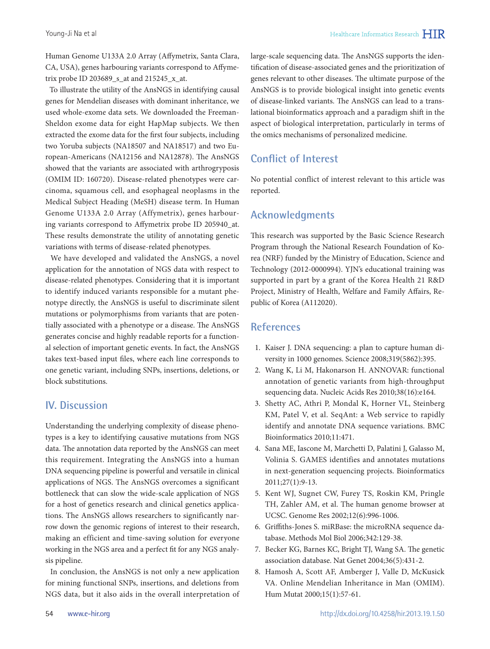Human Genome U133A 2.0 Array (Affymetrix, Santa Clara, CA, USA), genes harbouring variants correspond to Affymetrix probe ID 203689\_s\_at and 215245\_x\_at.

 To illustrate the utility of the AnsNGS in identifying causal genes for Mendelian diseases with dominant inheritance, we used whole-exome data sets. We downloaded the Freeman-Sheldon exome data for eight HapMap subjects. We then extracted the exome data for the first four subjects, including two Yoruba subjects (NA18507 and NA18517) and two European-Americans (NA12156 and NA12878). The AnsNGS showed that the variants are associated with arthrogryposis (OMIM ID: 160720). Disease-related phenotypes were carcinoma, squamous cell, and esophageal neoplasms in the Medical Subject Heading (MeSH) disease term. In Human Genome U133A 2.0 Array (Affymetrix), genes harbouring variants correspond to Affymetrix probe ID 205940\_at. These results demonstrate the utility of annotating genetic variations with terms of disease-related phenotypes.

 We have developed and validated the AnsNGS, a novel application for the annotation of NGS data with respect to disease-related phenotypes. Considering that it is important to identify induced variants responsible for a mutant phenotype directly, the AnsNGS is useful to discriminate silent mutations or polymorphisms from variants that are potentially associated with a phenotype or a disease. The AnsNGS generates concise and highly readable reports for a functional selection of important genetic events. In fact, the AnsNGS takes text-based input files, where each line corresponds to one genetic variant, including SNPs, insertions, deletions, or block substitutions.

# **IV. Discussion**

Understanding the underlying complexity of disease phenotypes is a key to identifying causative mutations from NGS data. The annotation data reported by the AnsNGS can meet this requirement. Integrating the AnsNGS into a human DNA sequencing pipeline is powerful and versatile in clinical applications of NGS. The AnsNGS overcomes a significant bottleneck that can slow the wide-scale application of NGS for a host of genetics research and clinical genetics applications. The AnsNGS allows researchers to significantly narrow down the genomic regions of interest to their research, making an efficient and time-saving solution for everyone working in the NGS area and a perfect fit for any NGS analysis pipeline.

 In conclusion, the AnsNGS is not only a new application for mining functional SNPs, insertions, and deletions from NGS data, but it also aids in the overall interpretation of large-scale sequencing data. The AnsNGS supports the identification of disease-associated genes and the prioritization of genes relevant to other diseases. The ultimate purpose of the AnsNGS is to provide biological insight into genetic events of disease-linked variants. The AnsNGS can lead to a translational bioinformatics approach and a paradigm shift in the aspect of biological interpretation, particularly in terms of the omics mechanisms of personalized medicine.

# **Conflict of Interest**

No potential conflict of interest relevant to this article was reported.

## **Acknowledgments**

This research was supported by the Basic Science Research Program through the National Research Foundation of Korea (NRF) funded by the Ministry of Education, Science and Technology (2012-0000994). YJN's educational training was supported in part by a grant of the Korea Health 21 R&D Project, Ministry of Health, Welfare and Family Affairs, Republic of Korea (A112020).

## **References**

- 1. Kaiser J. DNA sequencing: a plan to capture human diversity in 1000 genomes. Science 2008;319(5862):395.
- 2. Wang K, Li M, Hakonarson H. ANNOVAR: functional annotation of genetic variants from high-throughput sequencing data. Nucleic Acids Res 2010;38(16):e164.
- 3. Shetty AC, Athri P, Mondal K, Horner VL, Steinberg KM, Patel V, et al. SeqAnt: a Web service to rapidly identify and annotate DNA sequence variations. BMC Bioinformatics 2010;11:471.
- 4. Sana ME, Iascone M, Marchetti D, Palatini J, Galasso M, Volinia S. GAMES identifies and annotates mutations in next-generation sequencing projects. Bioinformatics 2011;27(1):9-13.
- 5. Kent WJ, Sugnet CW, Furey TS, Roskin KM, Pringle TH, Zahler AM, et al. The human genome browser at UCSC. Genome Res 2002;12(6):996-1006.
- 6. Griffiths-Jones S. miRBase: the microRNA sequence database. Methods Mol Biol 2006;342:129-38.
- 7. Becker KG, Barnes KC, Bright TJ, Wang SA. The genetic association database. Nat Genet 2004;36(5):431-2.
- 8. Hamosh A, Scott AF, Amberger J, Valle D, McKusick VA. Online Mendelian Inheritance in Man (OMIM). Hum Mutat 2000;15(1):57-61.